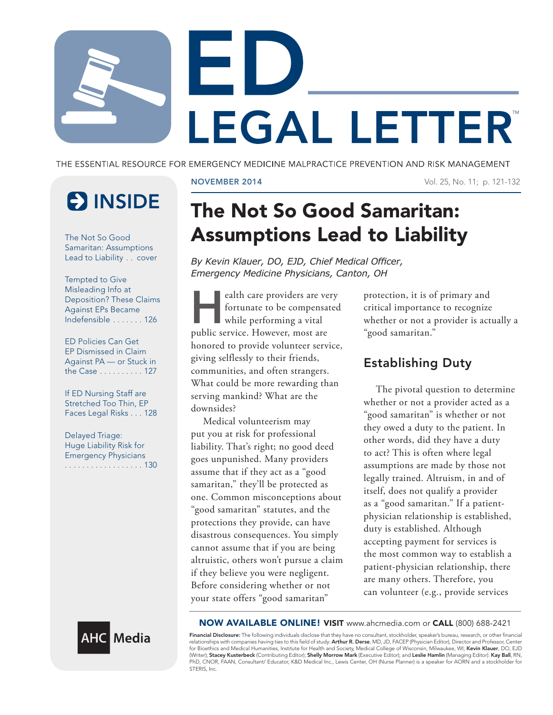

THE ESSENTIAL RESOURCE FOR EMERGENCY MEDICINE MALPRACTICE PREVENTION AND RISK MANAGEMENT

# **E** INSIDE

The Not So Good Samaritan: Assumptions Lead to Liability . . cover

Tempted to Give Misleading Info at Deposition? These Claims Against EPs Became Indefensible . . . . . . . 126

ED Policies Can Get EP Dismissed in Claim Against PA — or Stuck in the Case . . . . . . . . . . 127

If ED Nursing Staff are Stretched Too Thin, EP Faces Legal Risks . . . 128

Delayed Triage: Huge Liability Risk for Emergency Physicians .................. 130

NOVEMBER 2014 Vol. 25, No. 11; p. 121-132

## The Not So Good Samaritan: Assumptions Lead to Liability

*By Kevin Klauer, DO, EJD, Chief Medical Officer, Emergency Medicine Physicians, Canton, OH*

ealth care providers are very<br>fortunate to be compensated<br>while performing a vital fortunate to be compensated while performing a vital public service. However, most are honored to provide volunteer service, giving selflessly to their friends, communities, and often strangers. What could be more rewarding than serving mankind? What are the downsides?

Medical volunteerism may put you at risk for professional liability. That's right; no good deed goes unpunished. Many providers assume that if they act as a "good samaritan," they'll be protected as one. Common misconceptions about "good samaritan" statutes, and the protections they provide, can have disastrous consequences. You simply cannot assume that if you are being altruistic, others won't pursue a claim if they believe you were negligent. Before considering whether or not your state offers "good samaritan"

protection, it is of primary and critical importance to recognize whether or not a provider is actually a "good samaritan."

### Establishing Duty

The pivotal question to determine whether or not a provider acted as a "good samaritan" is whether or not they owed a duty to the patient. In other words, did they have a duty to act? This is often where legal assumptions are made by those not legally trained. Altruism, in and of itself, does not qualify a provider as a "good samaritan." If a patientphysician relationship is established, duty is established. Although accepting payment for services is the most common way to establish a patient-physician relationship, there are many others. Therefore, you can volunteer (e.g., provide services



NOW AVAILABLE ONLINE! VISIT www.ahcmedia.com or CALL (800) 688-2421

**Financial Disclosure:** The following individuals disclose that they have no consultant, stockholder, speaker's bureau, research, or other financial<br>relationships with companies having ties to this field of study: **Arthur** (Writer); Stacey Kusterbeck (Contributing Editor); Shelly Morrow Mark (Executive Editor); and Leslie Hamlin (Managing Editor). Kay Ball, RN, PhD, CNOR, FAAN, Consultant/ Educator, K&D Medical Inc., Lewis Center, OH (Nurse Planner) is a speaker for AORN and a stockholder for STERIS, Inc.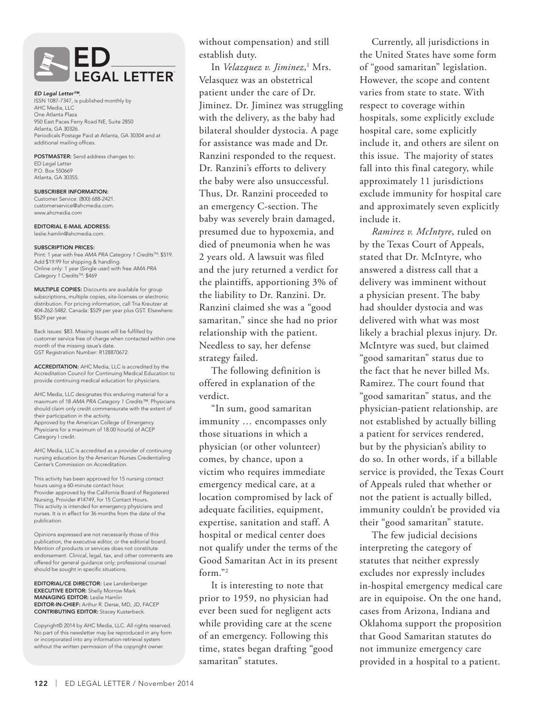

*ED Legal Letter™*, ISSN 1087-7347, is published monthly by AHC Media, LLC One Atlanta Plaza 950 East Paces Ferry Road NE, Suite 2850 Atlanta, GA 30326. Periodicals Postage Paid at Atlanta, GA 30304 and at additional mailing offices.

POSTMASTER: Send address changes to: ED Legal Letter P.O. Box 550669 Atlanta, GA 30355.

SUBSCRIBER INFORMATION: Customer Service: (800) 688-2421. customerservice@ahcmedia.com. www.ahcmedia.com

EDITORIAL E-MAIL ADDRESS: leslie.hamlin@ahcmedia.com.

#### SUBSCRIPTION PRICES:

Print: 1 year with free *AMA PRA Category 1 CreditsTM*: \$519. Add \$19.99 for shipping & handling. Online only: 1 year (Single user) with free *AMA PRA Category 1 CreditsTM*: \$469

MULTIPLE COPIES: Discounts are available for group subscriptions, multiple copies, site-licenses or electronic distribution. For pricing information, call Tria Kreutzer at 404-262-5482. Canada: \$529 per year plus GST. Elsewhere: \$529 per year.

Back issues: \$83. Missing issues will be fulfilled by customer service free of charge when contacted within one month of the missing issue's date. GST Registration Number: R128870672.

ACCREDITATION: AHC Media, LLC is accredited by the Accreditation Council for Continuing Medical Education to provide continuing medical education for physicians.

AHC Media, LLC designates this enduring material for a maximum of 18 *AMA PRA Category 1 Credits™*. Physicians should claim only credit commensurate with the extent of their participation in the activity. Approved by the American College of Emergency Physicians for a maximum of 18.00 hour(s) of ACEP Category I credit.

AHC Media, LLC is accredited as a provider of continuing nursing education by the American Nurses Credentialing Center's Commission on Accreditation.

This activity has been approved for 15 nursing contact hours using a 60-minute contact hour. Provider approved by the California Board of Registered Nursing, Provider #14749, for 15 Contact Hours. This activity is intended for emergency physicians and nurses. It is in effect for 36 months from the date of the publication.

Opinions expressed are not necessarily those of this publication, the executive editor, or the editorial board. Mention of products or services does not constitute endorsement. Clinical, legal, tax, and other comments are offered for general guidance only; professional counsel should be sought in specific situations.

EDITORIAL/CE DIRECTOR: Lee Landenberger **EXECUTIVE EDITOR:** Shelly Morrow Mark MANAGING EDITOR: Leslie Hamlin EDITOR-IN-CHIEF: Arthur R. Derse, MD, JD, FACEP CONTRIBUTING EDITOR: Stacey Kusterbeck.

Copyright© 2014 by AHC Media, LLC. All rights reserved. No part of this newsletter may be reproduced in any form or incorporated into any information-retrieval system without the written permission of the copyright owner.

without compensation) and still establish duty.

In *Velazquez v. Jiminez*,<sup>1</sup> Mrs. Velasquez was an obstetrical patient under the care of Dr. Jiminez. Dr. Jiminez was struggling with the delivery, as the baby had bilateral shoulder dystocia. A page for assistance was made and Dr. Ranzini responded to the request. Dr. Ranzini's efforts to delivery the baby were also unsuccessful. Thus, Dr. Ranzini proceeded to an emergency C-section. The baby was severely brain damaged, presumed due to hypoxemia, and died of pneumonia when he was 2 years old. A lawsuit was filed and the jury returned a verdict for the plaintiffs, apportioning 3% of the liability to Dr. Ranzini. Dr. Ranzini claimed she was a "good samaritan," since she had no prior relationship with the patient. Needless to say, her defense strategy failed.

The following definition is offered in explanation of the verdict.

"In sum, good samaritan immunity … encompasses only those situations in which a physician (or other volunteer) comes, by chance, upon a victim who requires immediate emergency medical care, at a location compromised by lack of adequate facilities, equipment, expertise, sanitation and staff. A hospital or medical center does not qualify under the terms of the Good Samaritan Act in its present form."2

It is interesting to note that prior to 1959, no physician had ever been sued for negligent acts while providing care at the scene of an emergency. Following this time, states began drafting "good samaritan" statutes.

Currently, all jurisdictions in the United States have some form of "good samaritan" legislation. However, the scope and content varies from state to state. With respect to coverage within hospitals, some explicitly exclude hospital care, some explicitly include it, and others are silent on this issue. The majority of states fall into this final category, while approximately 11 jurisdictions exclude immunity for hospital care and approximately seven explicitly include it.

*Ramirez v. McIntyre*, ruled on by the Texas Court of Appeals, stated that Dr. McIntyre, who answered a distress call that a delivery was imminent without a physician present. The baby had shoulder dystocia and was delivered with what was most likely a brachial plexus injury. Dr. McIntyre was sued, but claimed "good samaritan" status due to the fact that he never billed Ms. Ramirez. The court found that "good samaritan" status, and the physician-patient relationship, are not established by actually billing a patient for services rendered, but by the physician's ability to do so. In other words, if a billable service is provided, the Texas Court of Appeals ruled that whether or not the patient is actually billed, immunity couldn't be provided via their "good samaritan" statute.

The few judicial decisions interpreting the category of statutes that neither expressly excludes nor expressly includes in-hospital emergency medical care are in equipoise. On the one hand, cases from Arizona, Indiana and Oklahoma support the proposition that Good Samaritan statutes do not immunize emergency care provided in a hospital to a patient.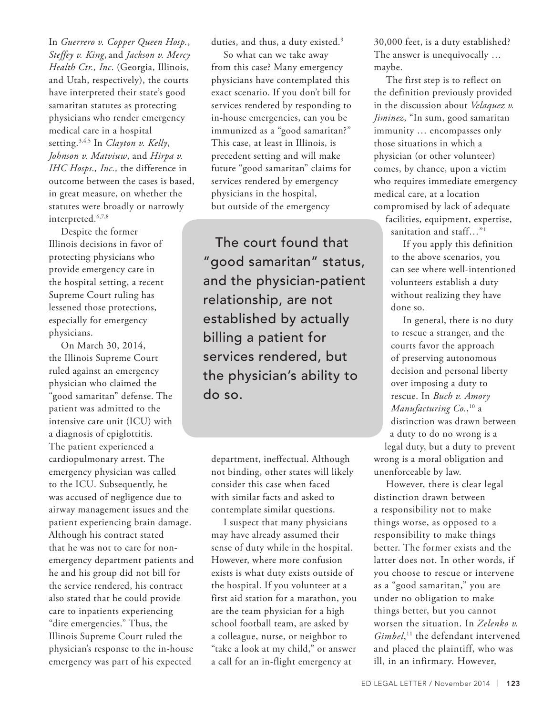In *Guerrero v. Copper Queen Hosp.*, *Steffey v. King*, and *Jackson v. Mercy Health Ctr., Inc*. (Georgia, Illinois, and Utah, respectively), the courts have interpreted their state's good samaritan statutes as protecting physicians who render emergency medical care in a hospital setting.3,4,5 In *Clayton v. Kelly*, *Johnson v. Matviuw*, and *Hirpa v. IHC Hosps., Inc.,* the difference in outcome between the cases is based, in great measure, on whether the statutes were broadly or narrowly interpreted.6,7,8

Despite the former Illinois decisions in favor of protecting physicians who provide emergency care in the hospital setting, a recent Supreme Court ruling has lessened those protections, especially for emergency physicians.

On March 30, 2014, the Illinois Supreme Court ruled against an emergency physician who claimed the "good samaritan" defense. The patient was admitted to the intensive care unit (ICU) with a diagnosis of epiglottitis. The patient experienced a cardiopulmonary arrest. The emergency physician was called to the ICU. Subsequently, he was accused of negligence due to airway management issues and the patient experiencing brain damage. Although his contract stated that he was not to care for nonemergency department patients and he and his group did not bill for the service rendered, his contract also stated that he could provide care to inpatients experiencing "dire emergencies." Thus, the Illinois Supreme Court ruled the physician's response to the in-house emergency was part of his expected

duties, and thus, a duty existed.<sup>9</sup>

So what can we take away from this case? Many emergency physicians have contemplated this exact scenario. If you don't bill for services rendered by responding to in-house emergencies, can you be immunized as a "good samaritan?" This case, at least in Illinois, is precedent setting and will make future "good samaritan" claims for services rendered by emergency physicians in the hospital, but outside of the emergency

The court found that "good samaritan" status, and the physician-patient relationship, are not established by actually billing a patient for services rendered, but the physician's ability to do so.

department, ineffectual. Although not binding, other states will likely consider this case when faced with similar facts and asked to contemplate similar questions.

I suspect that many physicians may have already assumed their sense of duty while in the hospital. However, where more confusion exists is what duty exists outside of the hospital. If you volunteer at a first aid station for a marathon, you are the team physician for a high school football team, are asked by a colleague, nurse, or neighbor to "take a look at my child," or answer a call for an in-flight emergency at

30,000 feet, is a duty established? The answer is unequivocally … maybe.

The first step is to reflect on the definition previously provided in the discussion about *Velaquez v. Jiminez*, "In sum, good samaritan immunity … encompasses only those situations in which a physician (or other volunteer) comes, by chance, upon a victim who requires immediate emergency medical care, at a location compromised by lack of adequate

facilities, equipment, expertise, sanitation and staff..."<sup>1</sup>

If you apply this definition to the above scenarios, you can see where well-intentioned volunteers establish a duty without realizing they have done so.

In general, there is no duty to rescue a stranger, and the courts favor the approach of preserving autonomous decision and personal liberty over imposing a duty to rescue. In *Buch v. Amory Manufacturing Co.*, 10 a distinction was drawn between a duty to do no wrong is a

legal duty, but a duty to prevent wrong is a moral obligation and unenforceable by law.

However, there is clear legal distinction drawn between a responsibility not to make things worse, as opposed to a responsibility to make things better. The former exists and the latter does not. In other words, if you choose to rescue or intervene as a "good samaritan," you are under no obligation to make things better, but you cannot worsen the situation. In *Zelenko v. Gimbel*, 11 the defendant intervened and placed the plaintiff, who was ill, in an infirmary. However,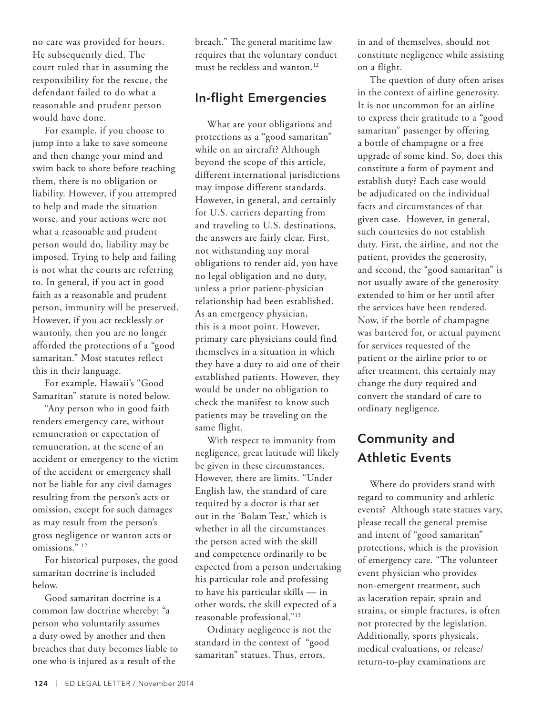no care was provided for hours. He subsequently died. The court ruled that in assuming the responsibility for the rescue, the defendant failed to do what a reasonable and prudent person would have done.

For example, if you choose to jump into a lake to save someone and then change your mind and swim back to shore before reaching them, there is no obligation or liability. However, if you attempted to help and made the situation worse, and your actions were not what a reasonable and prudent person would do, liability may be imposed. Trying to help and failing is not what the courts are referring to. In general, if you act in good faith as a reasonable and prudent person, immunity will be preserved. However, if you act recklessly or wantonly, then you are no longer afforded the protections of a "good samaritan." Most statutes reflect this in their language.

For example, Hawaii's "Good Samaritan" statute is noted below.

"Any person who in good faith renders emergency care, without remuneration or expectation of remuneration, at the scene of an accident or emergency to the victim of the accident or emergency shall not be liable for any civil damages resulting from the person's acts or omission, except for such damages as may result from the person's gross negligence or wanton acts or omissions."<sup>12</sup>

For historical purposes, the good samaritan doctrine is included below.

Good samaritan doctrine is a common law doctrine whereby: "a person who voluntarily assumes a duty owed by another and then breaches that duty becomes liable to one who is injured as a result of the

breach." The general maritime law requires that the voluntary conduct must be reckless and wanton.<sup>12</sup>

### In-flight Emergencies

What are your obligations and protections as a "good samaritan" while on an aircraft? Although beyond the scope of this article, different international jurisdictions may impose different standards. However, in general, and certainly for U.S. carriers departing from and traveling to U.S. destinations, the answers are fairly clear. First, not withstanding any moral obligations to render aid, you have no legal obligation and no duty, unless a prior patient-physician relationship had been established. As an emergency physician, this is a moot point. However, primary care physicians could find themselves in a situation in which they have a duty to aid one of their established patients. However, they would be under no obligation to check the manifest to know such patients may be traveling on the same flight.

With respect to immunity from negligence, great latitude will likely be given in these circumstances. However, there are limits. "Under English law, the standard of care required by a doctor is that set out in the 'Bolam Test,' which is whether in all the circumstances the person acted with the skill and competence ordinarily to be expected from a person undertaking his particular role and professing to have his particular skills — in other words, the skill expected of a reasonable professional."13

Ordinary negligence is not the standard in the context of "good samaritan" statues. Thus, errors,

in and of themselves, should not constitute negligence while assisting on a flight.

The question of duty often arises in the context of airline generosity. It is not uncommon for an airline to express their gratitude to a "good samaritan" passenger by offering a bottle of champagne or a free upgrade of some kind. So, does this constitute a form of payment and establish duty? Each case would be adjudicated on the individual facts and circumstances of that given case. However, in general, such courtesies do not establish duty. First, the airline, and not the patient, provides the generosity, and second, the "good samaritan" is not usually aware of the generosity extended to him or her until after the services have been rendered. Now, if the bottle of champagne was bartered for, or actual payment for services requested of the patient or the airline prior to or after treatment, this certainly may change the duty required and convert the standard of care to ordinary negligence.

### Community and Athletic Events

Where do providers stand with regard to community and athletic events? Although state statues vary, please recall the general premise and intent of "good samaritan" protections, which is the provision of emergency care. "The volunteer event physician who provides non-emergent treatment, such as laceration repair, sprain and strains, or simple fractures, is often not protected by the legislation. Additionally, sports physicals, medical evaluations, or release/ return-to-play examinations are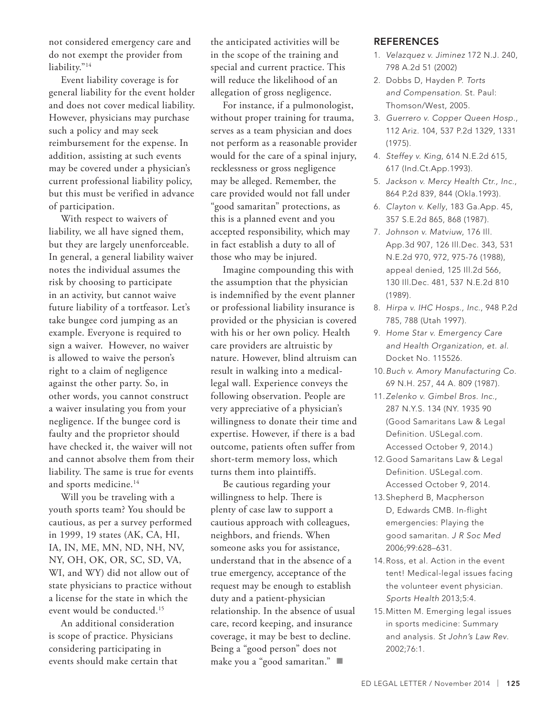not considered emergency care and do not exempt the provider from liability."<sup>14</sup>

Event liability coverage is for general liability for the event holder and does not cover medical liability. However, physicians may purchase such a policy and may seek reimbursement for the expense. In addition, assisting at such events may be covered under a physician's current professional liability policy, but this must be verified in advance of participation.

With respect to waivers of liability, we all have signed them, but they are largely unenforceable. In general, a general liability waiver notes the individual assumes the risk by choosing to participate in an activity, but cannot waive future liability of a tortfeasor. Let's take bungee cord jumping as an example. Everyone is required to sign a waiver. However, no waiver is allowed to waive the person's right to a claim of negligence against the other party. So, in other words, you cannot construct a waiver insulating you from your negligence. If the bungee cord is faulty and the proprietor should have checked it, the waiver will not and cannot absolve them from their liability. The same is true for events and sports medicine.<sup>14</sup>

Will you be traveling with a youth sports team? You should be cautious, as per a survey performed in 1999, 19 states (AK, CA, HI, IA, IN, ME, MN, ND, NH, NV, NY, OH, OK, OR, SC, SD, VA, WI, and WY) did not allow out of state physicians to practice without a license for the state in which the event would be conducted.15

An additional consideration is scope of practice. Physicians considering participating in events should make certain that

the anticipated activities will be in the scope of the training and special and current practice. This will reduce the likelihood of an allegation of gross negligence.

For instance, if a pulmonologist, without proper training for trauma, serves as a team physician and does not perform as a reasonable provider would for the care of a spinal injury, recklessness or gross negligence may be alleged. Remember, the care provided would not fall under "good samaritan" protections, as this is a planned event and you accepted responsibility, which may in fact establish a duty to all of those who may be injured.

Imagine compounding this with the assumption that the physician is indemnified by the event planner or professional liability insurance is provided or the physician is covered with his or her own policy. Health care providers are altruistic by nature. However, blind altruism can result in walking into a medicallegal wall. Experience conveys the following observation. People are very appreciative of a physician's willingness to donate their time and expertise. However, if there is a bad outcome, patients often suffer from short-term memory loss, which turns them into plaintiffs.

Be cautious regarding your willingness to help. There is plenty of case law to support a cautious approach with colleagues, neighbors, and friends. When someone asks you for assistance, understand that in the absence of a true emergency, acceptance of the request may be enough to establish duty and a patient-physician relationship. In the absence of usual care, record keeping, and insurance coverage, it may be best to decline. Being a "good person" does not make you a "good samaritan."

#### **REFERENCES**

- 1. *Velazquez v. Jiminez* 172 N.J. 240, 798 A.2d 51 (2002)
- 2. Dobbs D, Hayden P. *Torts and Compensation*. St. Paul: Thomson/West, 2005.
- 3. *Guerrero v. Copper Queen Hosp.*, 112 Ariz. 104, 537 P.2d 1329, 1331 (1975).
- 4. *Steffey v. King*, 614 N.E.2d 615, 617 (Ind.Ct.App.1993).
- 5. *Jackson v. Mercy Health Ctr., Inc.*, 864 P.2d 839, 844 (Okla.1993).
- 6. *Clayton v. Kelly*, 183 Ga.App. 45, 357 S.E.2d 865, 868 (1987).
- 7. *Johnson v. Matviuw*, 176 Ill. App.3d 907, 126 Ill.Dec. 343, 531 N.E.2d 970, 972, 975-76 (1988), appeal denied, 125 Ill.2d 566, 130 Ill.Dec. 481, 537 N.E.2d 810 (1989).
- 8. *Hirpa v. IHC Hosps., Inc.*, 948 P.2d 785, 788 (Utah 1997).
- 9. *Home Star v. Emergency Care and Health Organization, et. al.* Docket No. 115526.
- 10. *Buch v. Amory Manufacturing Co.*  69 N.H. 257, 44 A. 809 (1987).
- 11. *Zelenko v. Gimbel Bros. Inc.*, 287 N.Y.S. 134 (NY. 1935 90 (Good Samaritans Law & Legal Definition. USLegal.com. Accessed October 9, 2014.)
- 12. Good Samaritans Law & Legal Definition. USLegal.com. Accessed October 9, 2014.
- 13. Shepherd B, Macpherson D, Edwards CMB. In-flight emergencies: Playing the good samaritan. *J R Soc Med* 2006;99:628–631.
- 14. Ross, et al. Action in the event tent! Medical-legal issues facing the volunteer event physician. *Sports Health* 2013;5:4.
- 15. Mitten M. Emerging legal issues in sports medicine: Summary and analysis. *St John's Law Rev*. 2002;76:1.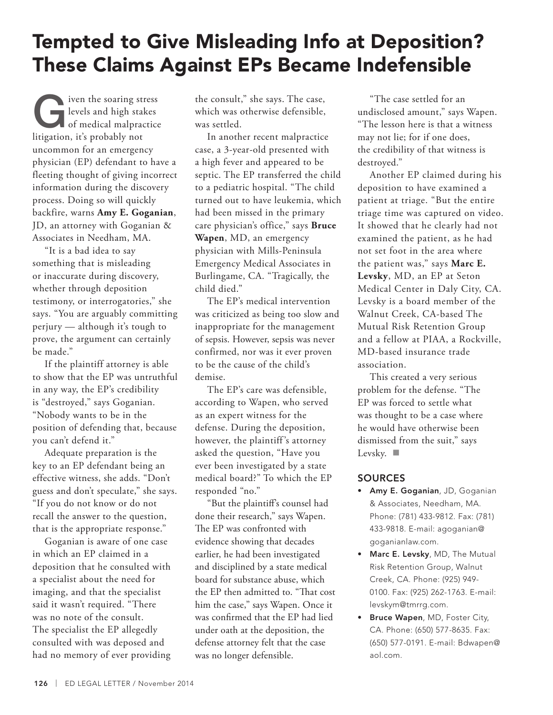## Tempted to Give Misleading Info at Deposition? These Claims Against EPs Became Indefensible

I iven the soaring stress<br>levels and high stakes<br>of medical malpractice levels and high stakes of medical malpractice litigation, it's probably not uncommon for an emergency physician (EP) defendant to have a fleeting thought of giving incorrect information during the discovery process. Doing so will quickly backfire, warns **Amy E. Goganian**, JD, an attorney with Goganian & Associates in Needham, MA.

"It is a bad idea to say something that is misleading or inaccurate during discovery, whether through deposition testimony, or interrogatories," she says. "You are arguably committing perjury — although it's tough to prove, the argument can certainly be made."

If the plaintiff attorney is able to show that the EP was untruthful in any way, the EP's credibility is "destroyed," says Goganian. "Nobody wants to be in the position of defending that, because you can't defend it."

Adequate preparation is the key to an EP defendant being an effective witness, she adds. "Don't guess and don't speculate," she says. "If you do not know or do not recall the answer to the question, that is the appropriate response."

Goganian is aware of one case in which an EP claimed in a deposition that he consulted with a specialist about the need for imaging, and that the specialist said it wasn't required. "There was no note of the consult. The specialist the EP allegedly consulted with was deposed and had no memory of ever providing

the consult," she says. The case, which was otherwise defensible, was settled.

In another recent malpractice case, a 3-year-old presented with a high fever and appeared to be septic. The EP transferred the child to a pediatric hospital. "The child turned out to have leukemia, which had been missed in the primary care physician's office," says **Bruce Wapen**, MD, an emergency physician with Mills-Peninsula Emergency Medical Associates in Burlingame, CA. "Tragically, the child died."

The EP's medical intervention was criticized as being too slow and inappropriate for the management of sepsis. However, sepsis was never confirmed, nor was it ever proven to be the cause of the child's demise.

The EP's care was defensible, according to Wapen, who served as an expert witness for the defense. During the deposition, however, the plaintiff 's attorney asked the question, "Have you ever been investigated by a state medical board?" To which the EP responded "no."

"But the plaintiff's counsel had done their research," says Wapen. The EP was confronted with evidence showing that decades earlier, he had been investigated and disciplined by a state medical board for substance abuse, which the EP then admitted to. "That cost him the case," says Wapen. Once it was confirmed that the EP had lied under oath at the deposition, the defense attorney felt that the case was no longer defensible.

"The case settled for an undisclosed amount," says Wapen. "The lesson here is that a witness may not lie; for if one does, the credibility of that witness is destroyed."

Another EP claimed during his deposition to have examined a patient at triage. "But the entire triage time was captured on video. It showed that he clearly had not examined the patient, as he had not set foot in the area where the patient was," says **Marc E. Levsky**, MD, an EP at Seton Medical Center in Daly City, CA. Levsky is a board member of the Walnut Creek, CA-based The Mutual Risk Retention Group and a fellow at PIAA, a Rockville, MD-based insurance trade association.

This created a very serious problem for the defense. "The EP was forced to settle what was thought to be a case where he would have otherwise been dismissed from the suit," says Levsky.  $\blacksquare$ 

### **SOURCES**

- Amy E. Goganian, JD, Goganian & Associates, Needham, MA. Phone: (781) 433-9812. Fax: (781) 433-9818. E-mail: agoganian@ goganianlaw.com.
- Marc E. Levsky, MD, The Mutual Risk Retention Group, Walnut Creek, CA. Phone: (925) 949- 0100. Fax: (925) 262-1763. E-mail: levskym@tmrrg.com.
- Bruce Wapen, MD, Foster City, CA. Phone: (650) 577-8635. Fax: (650) 577-0191. E-mail: Bdwapen@ aol.com.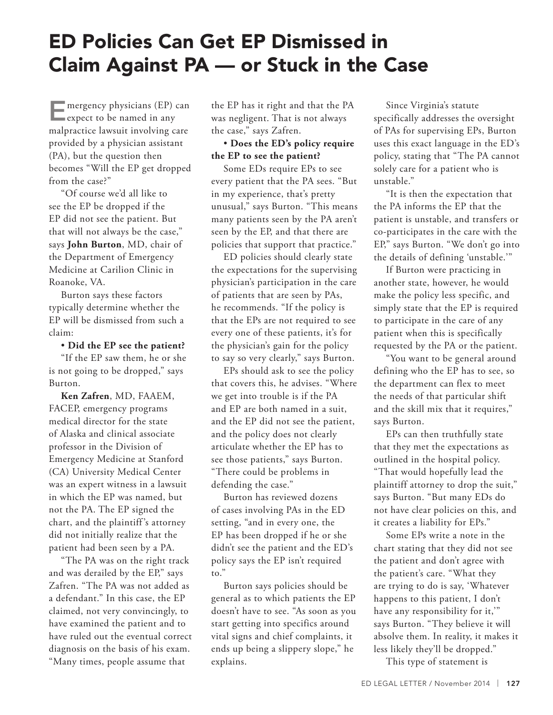## ED Policies Can Get EP Dismissed in Claim Against PA — or Stuck in the Case

 $\blacksquare$  mergency physicians (EP) can **L** expect to be named in any malpractice lawsuit involving care provided by a physician assistant (PA), but the question then becomes "Will the EP get dropped from the case?"

"Of course we'd all like to see the EP be dropped if the EP did not see the patient. But that will not always be the case," says **John Burton**, MD, chair of the Department of Emergency Medicine at Carilion Clinic in Roanoke, VA.

Burton says these factors typically determine whether the EP will be dismissed from such a claim:

#### • **Did the EP see the patient?**

"If the EP saw them, he or she is not going to be dropped," says Burton.

**Ken Zafren**, MD, FAAEM, FACEP, emergency programs medical director for the state of Alaska and clinical associate professor in the Division of Emergency Medicine at Stanford (CA) University Medical Center was an expert witness in a lawsuit in which the EP was named, but not the PA. The EP signed the chart, and the plaintiff 's attorney did not initially realize that the patient had been seen by a PA.

"The PA was on the right track and was derailed by the EP," says Zafren. "The PA was not added as a defendant." In this case, the EP claimed, not very convincingly, to have examined the patient and to have ruled out the eventual correct diagnosis on the basis of his exam. "Many times, people assume that

the EP has it right and that the PA was negligent. That is not always the case," says Zafren.

### • **Does the ED's policy require the EP to see the patient?**

Some EDs require EPs to see every patient that the PA sees. "But in my experience, that's pretty unusual," says Burton. "This means many patients seen by the PA aren't seen by the EP, and that there are policies that support that practice."

ED policies should clearly state the expectations for the supervising physician's participation in the care of patients that are seen by PAs, he recommends. "If the policy is that the EPs are not required to see every one of these patients, it's for the physician's gain for the policy to say so very clearly," says Burton.

EPs should ask to see the policy that covers this, he advises. "Where we get into trouble is if the PA and EP are both named in a suit, and the EP did not see the patient, and the policy does not clearly articulate whether the EP has to see those patients," says Burton. "There could be problems in defending the case."

Burton has reviewed dozens of cases involving PAs in the ED setting, "and in every one, the EP has been dropped if he or she didn't see the patient and the ED's policy says the EP isn't required to."

Burton says policies should be general as to which patients the EP doesn't have to see. "As soon as you start getting into specifics around vital signs and chief complaints, it ends up being a slippery slope," he explains.

Since Virginia's statute specifically addresses the oversight of PAs for supervising EPs, Burton uses this exact language in the ED's policy, stating that "The PA cannot solely care for a patient who is unstable."

"It is then the expectation that the PA informs the EP that the patient is unstable, and transfers or co-participates in the care with the EP," says Burton. "We don't go into the details of defining 'unstable.'"

If Burton were practicing in another state, however, he would make the policy less specific, and simply state that the EP is required to participate in the care of any patient when this is specifically requested by the PA or the patient.

"You want to be general around defining who the EP has to see, so the department can flex to meet the needs of that particular shift and the skill mix that it requires," says Burton.

EPs can then truthfully state that they met the expectations as outlined in the hospital policy. "That would hopefully lead the plaintiff attorney to drop the suit," says Burton. "But many EDs do not have clear policies on this, and it creates a liability for EPs."

Some EPs write a note in the chart stating that they did not see the patient and don't agree with the patient's care. "What they are trying to do is say, 'Whatever happens to this patient, I don't have any responsibility for it,'" says Burton. "They believe it will absolve them. In reality, it makes it less likely they'll be dropped."

This type of statement is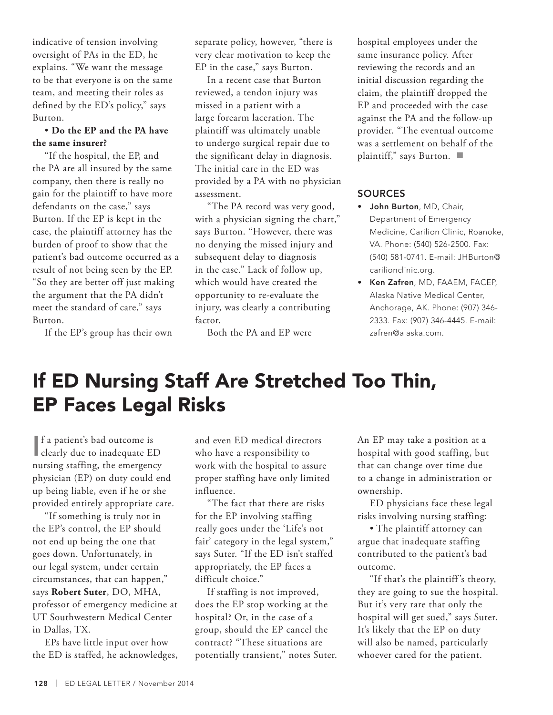indicative of tension involving oversight of PAs in the ED, he explains. "We want the message to be that everyone is on the same team, and meeting their roles as defined by the ED's policy," says Burton.

#### • **Do the EP and the PA have the same insurer?**

"If the hospital, the EP, and the PA are all insured by the same company, then there is really no gain for the plaintiff to have more defendants on the case," says Burton. If the EP is kept in the case, the plaintiff attorney has the burden of proof to show that the patient's bad outcome occurred as a result of not being seen by the EP. "So they are better off just making the argument that the PA didn't meet the standard of care," says Burton.

If the EP's group has their own

separate policy, however, "there is very clear motivation to keep the EP in the case," says Burton.

In a recent case that Burton reviewed, a tendon injury was missed in a patient with a large forearm laceration. The plaintiff was ultimately unable to undergo surgical repair due to the significant delay in diagnosis. The initial care in the ED was provided by a PA with no physician assessment.

"The PA record was very good, with a physician signing the chart," says Burton. "However, there was no denying the missed injury and subsequent delay to diagnosis in the case." Lack of follow up, which would have created the opportunity to re-evaluate the injury, was clearly a contributing factor.

Both the PA and EP were

hospital employees under the same insurance policy. After reviewing the records and an initial discussion regarding the claim, the plaintiff dropped the EP and proceeded with the case against the PA and the follow-up provider. "The eventual outcome was a settlement on behalf of the plaintiff," says Burton.  $\blacksquare$ 

### **SOURCES**

- John Burton, MD, Chair, Department of Emergency Medicine, Carilion Clinic, Roanoke, VA. Phone: (540) 526-2500. Fax: (540) 581-0741. E-mail: JHBurton@ carilionclinic.org.
- Ken Zafren, MD, FAAEM, FACEP, Alaska Native Medical Center, Anchorage, AK. Phone: (907) 346- 2333. Fax: (907) 346-4445. E-mail: zafren@alaska.com.

## If ED Nursing Staff Are Stretched Too Thin, EP Faces Legal Risks

I clearly due to inadequate ED f a patient's bad outcome is nursing staffing, the emergency physician (EP) on duty could end up being liable, even if he or she provided entirely appropriate care.

"If something is truly not in the EP's control, the EP should not end up being the one that goes down. Unfortunately, in our legal system, under certain circumstances, that can happen," says **Robert Suter**, DO, MHA, professor of emergency medicine at UT Southwestern Medical Center in Dallas, TX.

EPs have little input over how the ED is staffed, he acknowledges,

and even ED medical directors who have a responsibility to work with the hospital to assure proper staffing have only limited influence.

"The fact that there are risks for the EP involving staffing really goes under the 'Life's not fair' category in the legal system," says Suter. "If the ED isn't staffed appropriately, the EP faces a difficult choice."

If staffing is not improved, does the EP stop working at the hospital? Or, in the case of a group, should the EP cancel the contract? "These situations are potentially transient," notes Suter. An EP may take a position at a hospital with good staffing, but that can change over time due to a change in administration or ownership.

ED physicians face these legal risks involving nursing staffing:

• The plaintiff attorney can argue that inadequate staffing contributed to the patient's bad outcome.

"If that's the plaintiff 's theory, they are going to sue the hospital. But it's very rare that only the hospital will get sued," says Suter. It's likely that the EP on duty will also be named, particularly whoever cared for the patient.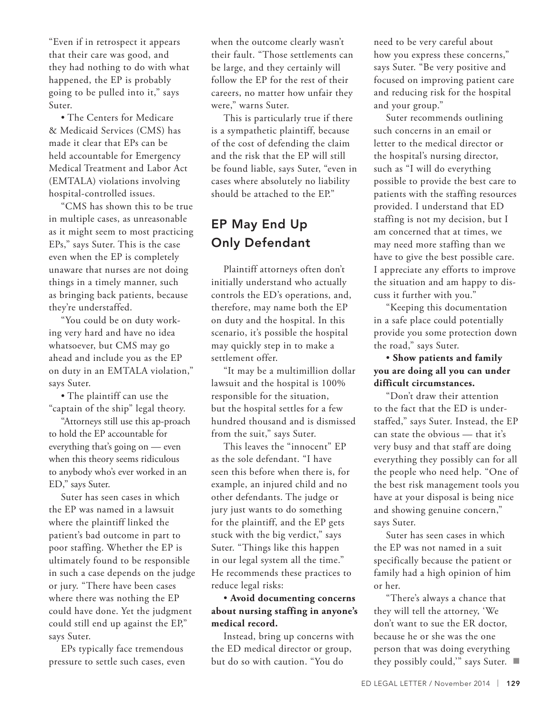"Even if in retrospect it appears that their care was good, and they had nothing to do with what happened, the EP is probably going to be pulled into it," says Suter.

• The Centers for Medicare & Medicaid Services (CMS) has made it clear that EPs can be held accountable for Emergency Medical Treatment and Labor Act (EMTALA) violations involving hospital-controlled issues.

"CMS has shown this to be true in multiple cases, as unreasonable as it might seem to most practicing EPs," says Suter. This is the case even when the EP is completely unaware that nurses are not doing things in a timely manner, such as bringing back patients, because they're understaffed.

"You could be on duty working very hard and have no idea whatsoever, but CMS may go ahead and include you as the EP on duty in an EMTALA violation," says Suter.

• The plaintiff can use the "captain of the ship" legal theory.

"Attorneys still use this ap-proach to hold the EP accountable for everything that's going on — even when this theory seems ridiculous to anybody who's ever worked in an ED," says Suter.

Suter has seen cases in which the EP was named in a lawsuit where the plaintiff linked the patient's bad outcome in part to poor staffing. Whether the EP is ultimately found to be responsible in such a case depends on the judge or jury. "There have been cases where there was nothing the EP could have done. Yet the judgment could still end up against the EP," says Suter.

EPs typically face tremendous pressure to settle such cases, even when the outcome clearly wasn't their fault. "Those settlements can be large, and they certainly will follow the EP for the rest of their careers, no matter how unfair they were," warns Suter.

This is particularly true if there is a sympathetic plaintiff, because of the cost of defending the claim and the risk that the EP will still be found liable, says Suter, "even in cases where absolutely no liability should be attached to the EP."

### EP May End Up Only Defendant

Plaintiff attorneys often don't initially understand who actually controls the ED's operations, and, therefore, may name both the EP on duty and the hospital. In this scenario, it's possible the hospital may quickly step in to make a settlement offer.

"It may be a multimillion dollar lawsuit and the hospital is 100% responsible for the situation, but the hospital settles for a few hundred thousand and is dismissed from the suit," says Suter.

This leaves the "innocent" EP as the sole defendant. "I have seen this before when there is, for example, an injured child and no other defendants. The judge or jury just wants to do something for the plaintiff, and the EP gets stuck with the big verdict," says Suter. "Things like this happen in our legal system all the time." He recommends these practices to reduce legal risks:

### • **Avoid documenting concerns about nursing staffing in anyone's medical record.**

Instead, bring up concerns with the ED medical director or group, but do so with caution. "You do

need to be very careful about how you express these concerns," says Suter. "Be very positive and focused on improving patient care and reducing risk for the hospital and your group."

Suter recommends outlining such concerns in an email or letter to the medical director or the hospital's nursing director, such as "I will do everything possible to provide the best care to patients with the staffing resources provided. I understand that ED staffing is not my decision, but I am concerned that at times, we may need more staffing than we have to give the best possible care. I appreciate any efforts to improve the situation and am happy to discuss it further with you."

"Keeping this documentation in a safe place could potentially provide you some protection down the road," says Suter.

### • **Show patients and family you are doing all you can under difficult circumstances.**

"Don't draw their attention to the fact that the ED is understaffed," says Suter. Instead, the EP can state the obvious — that it's very busy and that staff are doing everything they possibly can for all the people who need help. "One of the best risk management tools you have at your disposal is being nice and showing genuine concern," says Suter.

Suter has seen cases in which the EP was not named in a suit specifically because the patient or family had a high opinion of him or her.

"There's always a chance that they will tell the attorney, 'We don't want to sue the ER doctor, because he or she was the one person that was doing everything they possibly could," says Suter.  $\blacksquare$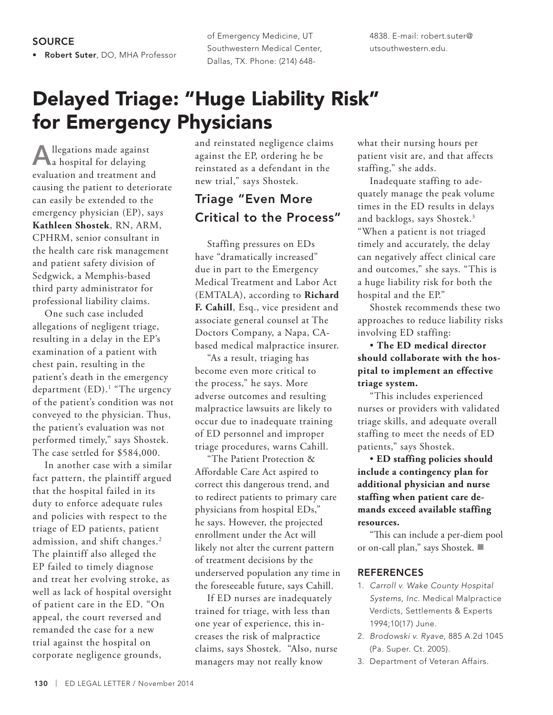• Robert Suter, DO, MHA Professor

of Emergency Medicine, UT Southwestern Medical Center, Dallas, TX. Phone: (214) 6484838. E-mail: robert.suter@ utsouthwestern.edu.

## Delayed Triage: "Huge Liability Risk" for Emergency Physicians

Allegations made against a hospital for delaying evaluation and treatment and causing the patient to deteriorate can easily be extended to the emergency physician (EP), says **Kathleen Shostek**, RN, ARM, CPHRM, senior consultant in the health care risk management and patient safety division of Sedgwick, a Memphis-based third party administrator for professional liability claims.

One such case included allegations of negligent triage, resulting in a delay in the EP's examination of a patient with chest pain, resulting in the patient's death in the emergency department (ED).<sup>1</sup> "The urgency of the patient's condition was not conveyed to the physician. Thus, the patient's evaluation was not performed timely," says Shostek. The case settled for \$584,000.

In another case with a similar fact pattern, the plaintiff argued that the hospital failed in its duty to enforce adequate rules and policies with respect to the triage of ED patients, patient admission, and shift changes.<sup>2</sup> The plaintiff also alleged the EP failed to timely diagnose and treat her evolving stroke, as well as lack of hospital oversight of patient care in the ED. "On appeal, the court reversed and remanded the case for a new trial against the hospital on corporate negligence grounds,

and reinstated negligence claims against the EP, ordering he be reinstated as a defendant in the new trial," says Shostek.

### Triage "Even More Critical to the Process"

Staffing pressures on EDs have "dramatically increased" due in part to the Emergency Medical Treatment and Labor Act (EMTALA), according to **Richard F. Cahill**, Esq., vice president and associate general counsel at The Doctors Company, a Napa, CAbased medical malpractice insurer.

"As a result, triaging has become even more critical to the process," he says. More adverse outcomes and resulting malpractice lawsuits are likely to occur due to inadequate training of ED personnel and improper triage procedures, warns Cahill.

"The Patient Protection & Affordable Care Act aspired to correct this dangerous trend, and to redirect patients to primary care physicians from hospital EDs," he says. However, the projected enrollment under the Act will likely not alter the current pattern of treatment decisions by the underserved population any time in the foreseeable future, says Cahill.

If ED nurses are inadequately trained for triage, with less than one year of experience, this increases the risk of malpractice claims, says Shostek. "Also, nurse managers may not really know

what their nursing hours per patient visit are, and that affects staffing," she adds.

Inadequate staffing to adequately manage the peak volume times in the ED results in delays and backlogs, says Shostek.<sup>3</sup> "When a patient is not triaged timely and accurately, the delay can negatively affect clinical care and outcomes," she says. "This is a huge liability risk for both the hospital and the EP."

Shostek recommends these two approaches to reduce liability risks involving ED staffing:

• **The ED medical director should collaborate with the hospital to implement an effective triage system.**

"This includes experienced nurses or providers with validated triage skills, and adequate overall staffing to meet the needs of ED patients," says Shostek.

• **ED staffing policies should include a contingency plan for additional physician and nurse staffing when patient care demands exceed available staffing resources.** 

"This can include a per-diem pool or on-call plan," says Shostek.

#### REFERENCES

- 1. *Carroll v. Wake County Hospital Systems, Inc*. Medical Malpractice Verdicts, Settlements & Experts 1994;10(17) June.
- 2. *Brodowski v. Ryave*, 885 A.2d 1045 (Pa. Super. Ct. 2005).
- 3. Department of Veteran Affairs.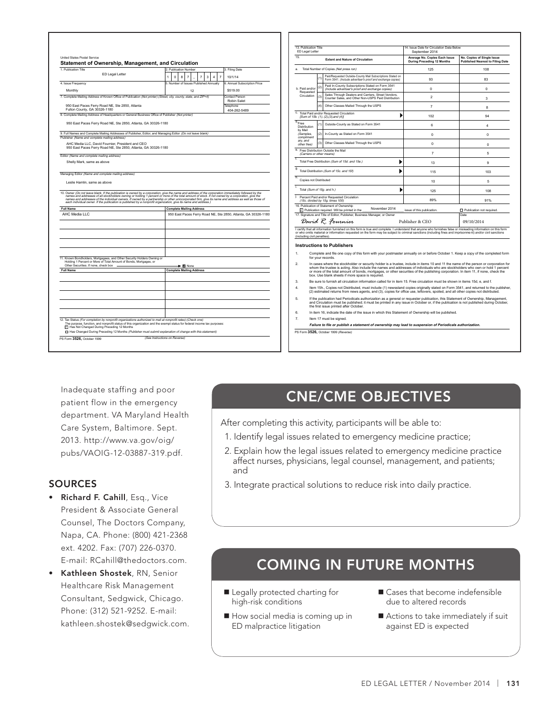|                                               | Statement of Ownership, Management, and Circulation                                                                                                                                                                                                                                   |                       |          |                                        |                |  |  |                |                             |                |                |                                                                |                |                                                               |     |                                                                                                                                                                                                                                                                                                       |
|-----------------------------------------------|---------------------------------------------------------------------------------------------------------------------------------------------------------------------------------------------------------------------------------------------------------------------------------------|-----------------------|----------|----------------------------------------|----------------|--|--|----------------|-----------------------------|----------------|----------------|----------------------------------------------------------------|----------------|---------------------------------------------------------------|-----|-------------------------------------------------------------------------------------------------------------------------------------------------------------------------------------------------------------------------------------------------------------------------------------------------------|
| 1. Publication Title                          |                                                                                                                                                                                                                                                                                       | 2. Publication Number |          |                                        |                |  |  |                |                             |                |                | 3. Filing Date                                                 |                | a. Total Number of Copie                                      |     |                                                                                                                                                                                                                                                                                                       |
|                                               | ED Legal Letter                                                                                                                                                                                                                                                                       | 1                     | $\Omega$ | 8                                      | $\overline{7}$ |  |  | $\overline{7}$ | 3                           | $\overline{4}$ | $\overline{7}$ | 10/1/14                                                        |                |                                                               | (1) | Paid/R<br>Form 3                                                                                                                                                                                                                                                                                      |
| 4. Issue Frequency                            |                                                                                                                                                                                                                                                                                       |                       |          | 5. Number of Issues Published Annually |                |  |  |                |                             |                |                | 6. Annual Subscription Price                                   |                |                                                               |     | Paid In                                                                                                                                                                                                                                                                                               |
| Monthly                                       |                                                                                                                                                                                                                                                                                       | 12<br>\$519.00        |          |                                        |                |  |  |                | b. Paid and/or<br>Requested | (2)            | (Includ        |                                                                |                |                                                               |     |                                                                                                                                                                                                                                                                                                       |
|                                               | 7. Complete Mailing Address of Known Office of Publication (Not printer) (Street, city, county, state, and ZIP+4)                                                                                                                                                                     |                       |          |                                        |                |  |  |                |                             |                |                | Contact Person<br>Robin Salet                                  |                | Circulation                                                   | (3) | Sales<br>Count                                                                                                                                                                                                                                                                                        |
| Fulton County, GA 30326-1180                  | 950 East Paces Ferry Road NE, Ste 2850, Atlanta                                                                                                                                                                                                                                       |                       |          |                                        |                |  |  |                |                             |                |                | Telephone<br>404-262-5489                                      |                |                                                               | (4) | Other                                                                                                                                                                                                                                                                                                 |
|                                               | 8. Complete Mailing Address of Headquarters or General Business Office of Publisher (Not printer)                                                                                                                                                                                     |                       |          |                                        |                |  |  |                |                             |                |                |                                                                | c.             | Total Paid and/or Requer<br>[Sum of 15b. (1), (2), (3),       |     |                                                                                                                                                                                                                                                                                                       |
|                                               | 950 East Paces Ferry Road NE, Ste 2850, Atlanta, GA 30326-1180                                                                                                                                                                                                                        |                       |          |                                        |                |  |  |                |                             |                |                |                                                                | $d_{\rm Free}$ | Distribution                                                  | (1) | Outsid                                                                                                                                                                                                                                                                                                |
|                                               | 9. Full Names and Complete Mailing Addresses of Publisher, Editor, and Managing Editor (Do not leave blank)                                                                                                                                                                           |                       |          |                                        |                |  |  |                |                             |                |                |                                                                | by Mail        | (Samples,                                                     | (2) | In-Cou                                                                                                                                                                                                                                                                                                |
| Publisher (Name and complete mailing address) | AHC Media LLC, David Fournier, President and CEO                                                                                                                                                                                                                                      |                       |          |                                        |                |  |  |                |                             |                |                |                                                                | ary, and       | compliment                                                    | (3) | Other                                                                                                                                                                                                                                                                                                 |
|                                               | 950 East Paces Ferry Road NE, Ste 2850, Atlanta, GA 30326-1180                                                                                                                                                                                                                        |                       |          |                                        |                |  |  |                |                             |                |                |                                                                |                | other free)<br>e. Free Distribution Outside                   |     |                                                                                                                                                                                                                                                                                                       |
| Editor (Name and complete mailing address)    |                                                                                                                                                                                                                                                                                       |                       |          |                                        |                |  |  |                |                             |                |                |                                                                | Ŧ.             | (Carriers or other means                                      |     |                                                                                                                                                                                                                                                                                                       |
| Shelly Mark, same as above                    |                                                                                                                                                                                                                                                                                       |                       |          |                                        |                |  |  |                |                             |                |                |                                                                |                | Total Free Distribution (S                                    |     |                                                                                                                                                                                                                                                                                                       |
|                                               |                                                                                                                                                                                                                                                                                       |                       |          |                                        |                |  |  |                |                             |                |                |                                                                | g              | Total Distribution (Sum o                                     |     |                                                                                                                                                                                                                                                                                                       |
|                                               | Managing Editor (Name and complete mailing address)                                                                                                                                                                                                                                   |                       |          |                                        |                |  |  |                |                             |                |                |                                                                | h.             | Copies not Distributed                                        |     |                                                                                                                                                                                                                                                                                                       |
| Leslie Hamlin, same as above                  |                                                                                                                                                                                                                                                                                       |                       |          |                                        |                |  |  |                |                             |                |                |                                                                |                |                                                               |     |                                                                                                                                                                                                                                                                                                       |
|                                               |                                                                                                                                                                                                                                                                                       |                       |          |                                        |                |  |  |                |                             |                |                |                                                                |                |                                                               |     |                                                                                                                                                                                                                                                                                                       |
|                                               | 10. Owner (Do not leave blank. If the publication is owned by a corporation, give the name and address of the corporation immediately followed by the                                                                                                                                 |                       |          |                                        |                |  |  |                |                             |                |                |                                                                | i.             | Total (Sum of 15g. and h                                      |     |                                                                                                                                                                                                                                                                                                       |
|                                               |                                                                                                                                                                                                                                                                                       |                       |          |                                        |                |  |  |                |                             |                |                |                                                                | j.             | Percent Paid and/or Req                                       |     |                                                                                                                                                                                                                                                                                                       |
|                                               | names and addresses of all stockholders owning or holding 1 percent or more of the total amount of stock. If not owned by a corporation, give the<br>names and addresses of the individual owners. If owned by a partnership or o                                                     |                       |          |                                        |                |  |  |                |                             |                |                |                                                                |                | (15c. divided by 15g. tim<br>16. Publication of Statement     |     |                                                                                                                                                                                                                                                                                                       |
|                                               |                                                                                                                                                                                                                                                                                       |                       |          | <b>Complete Mailing Address</b>        |                |  |  |                |                             |                |                |                                                                |                | Publication required.                                         |     |                                                                                                                                                                                                                                                                                                       |
| AHC Media LLC                                 |                                                                                                                                                                                                                                                                                       |                       |          |                                        |                |  |  |                |                             |                |                | 950 East Paces Ferry Road NE, Ste 2850, Atlanta, GA 30326-1180 |                | 17. Signature and Title of Ed                                 |     |                                                                                                                                                                                                                                                                                                       |
|                                               |                                                                                                                                                                                                                                                                                       |                       |          |                                        |                |  |  |                |                             |                |                |                                                                |                | David R. F.                                                   |     |                                                                                                                                                                                                                                                                                                       |
|                                               |                                                                                                                                                                                                                                                                                       |                       |          |                                        |                |  |  |                |                             |                |                |                                                                |                | I certify that all information f                              |     |                                                                                                                                                                                                                                                                                                       |
| <b>Full Name</b>                              |                                                                                                                                                                                                                                                                                       |                       |          |                                        |                |  |  |                |                             |                |                |                                                                |                | or who omits material or info<br>(including civil penalties). |     |                                                                                                                                                                                                                                                                                                       |
|                                               |                                                                                                                                                                                                                                                                                       |                       |          |                                        |                |  |  |                |                             |                |                |                                                                |                | <b>Instructions to Pu</b>                                     |     |                                                                                                                                                                                                                                                                                                       |
|                                               | 11. Known Bondholders, Mortgagees, and Other Security Holders Owning or<br>Holding 1 Percent or More of Total Amount of Bonds, Mortgages, or                                                                                                                                          |                       |          |                                        |                |  |  |                |                             |                |                |                                                                | 1.             |                                                               |     |                                                                                                                                                                                                                                                                                                       |
| Other Securities. If none, check box          |                                                                                                                                                                                                                                                                                       |                       |          | $\blacktriangleright$ $\boxtimes$ None |                |  |  |                |                             |                |                |                                                                | $\overline{2}$ |                                                               |     |                                                                                                                                                                                                                                                                                                       |
|                                               |                                                                                                                                                                                                                                                                                       |                       |          | <b>Complete Mailing Address</b>        |                |  |  |                |                             |                |                |                                                                |                |                                                               |     |                                                                                                                                                                                                                                                                                                       |
| <b>Full Name</b>                              |                                                                                                                                                                                                                                                                                       |                       |          |                                        |                |  |  |                |                             |                |                |                                                                | 3.             |                                                               |     |                                                                                                                                                                                                                                                                                                       |
|                                               |                                                                                                                                                                                                                                                                                       |                       |          |                                        |                |  |  |                |                             |                |                |                                                                | 4              |                                                               |     |                                                                                                                                                                                                                                                                                                       |
|                                               |                                                                                                                                                                                                                                                                                       |                       |          |                                        |                |  |  |                |                             |                |                |                                                                | 5.             |                                                               |     |                                                                                                                                                                                                                                                                                                       |
|                                               |                                                                                                                                                                                                                                                                                       |                       |          |                                        |                |  |  |                |                             |                |                |                                                                | 6.             |                                                               |     |                                                                                                                                                                                                                                                                                                       |
|                                               |                                                                                                                                                                                                                                                                                       |                       |          |                                        |                |  |  |                |                             |                |                |                                                                | $\overline{7}$ |                                                               |     |                                                                                                                                                                                                                                                                                                       |
|                                               | 12. Tax Status (For completion by nonprofit organizations authorized to mail at nonprofit rates) (Check one)<br>The purpose, function, and nonprofit status of this organization and the exempt status for federal income tax purposes:<br>Has Not Changed During Preceding 12 Months |                       |          |                                        |                |  |  |                |                             |                |                |                                                                |                |                                                               |     | Complete and f<br>for your records<br>In cases where<br>whom the truste<br>or more of the t<br>box. Use blank<br>Be sure to furni:<br>Item 15h., Copi<br>(2) estimated re<br>If the publication<br>and Circulation<br>the first issue pr<br>In item 16, indic<br>Item 17 must be<br>Failure to file o |

| 13 Publication Title<br>ED Legal Letter      |     |                                                                                                                                                                                                                                                                                                                              | 14. Issue Date for Circulation Data Below<br>September 2014 |                                                                       |  |  |  |  |
|----------------------------------------------|-----|------------------------------------------------------------------------------------------------------------------------------------------------------------------------------------------------------------------------------------------------------------------------------------------------------------------------------|-------------------------------------------------------------|-----------------------------------------------------------------------|--|--|--|--|
| 15                                           |     | <b>Extent and Nature of Circulation</b>                                                                                                                                                                                                                                                                                      | Average No. Copies Each Issue<br>During Preceding 12 Months | No. Copies of Single Issue<br><b>Published Nearest to Filing Date</b> |  |  |  |  |
| Total Number of Copies (Net press run)<br>я  |     |                                                                                                                                                                                                                                                                                                                              | 125                                                         | 108                                                                   |  |  |  |  |
|                                              | (1) | Paid/Requested Outside-County Mail Subscriptions Stated on<br>Form 3541. (Include advertiser's proof and exchange copies)                                                                                                                                                                                                    | 93                                                          | 83                                                                    |  |  |  |  |
| b. Paid and/or<br>Requested<br>Circulation   | (2) | Paid In-County Subscriptions Stated on Form 3541<br>(Include advertiser's proof and exchange copies)                                                                                                                                                                                                                         | $\mathbf 0$                                                 | $\mathbf 0$                                                           |  |  |  |  |
|                                              | (3) | Sales Through Dealers and Carriers, Street Vendors,<br>Counter Sales, and Other Non-USPS Paid Distribution                                                                                                                                                                                                                   | $\mathfrak{p}$                                              | 3                                                                     |  |  |  |  |
|                                              | (4) | Other Classes Mailed Through the USPS                                                                                                                                                                                                                                                                                        | $\overline{7}$                                              | 8                                                                     |  |  |  |  |
|                                              |     | Total Paid and/or Requested Circulation<br>[Sum of 15b. (1), (2), (3), and (4)]                                                                                                                                                                                                                                              | 102                                                         | 94                                                                    |  |  |  |  |
| $\overline{d}_{\text{Free}}$<br>Distribution | (1) | Outside-County as Stated on Form 3541                                                                                                                                                                                                                                                                                        | 6                                                           | 4                                                                     |  |  |  |  |
| by Mail<br>(Samples,<br>compliment           | (2) | In-County as Stated on Form 3541                                                                                                                                                                                                                                                                                             | $\Omega$                                                    | O                                                                     |  |  |  |  |
| ary, and<br>other free)                      | (3) | Other Classes Mailed Through the USPS                                                                                                                                                                                                                                                                                        | $\Omega$                                                    | 0                                                                     |  |  |  |  |
| (Carriers or other means)                    |     | e. Free Distribution Outside the Mail                                                                                                                                                                                                                                                                                        | 7                                                           | 5                                                                     |  |  |  |  |
| f.                                           |     | Þ<br>Total Free Distribution (Sum of 15d. and 15e.)                                                                                                                                                                                                                                                                          | 13                                                          | 9                                                                     |  |  |  |  |
| g.                                           |     | Total Distribution (Sum of 15c. and 15f)                                                                                                                                                                                                                                                                                     | 115                                                         | 103                                                                   |  |  |  |  |
| h.<br>Copies not Distributed                 |     |                                                                                                                                                                                                                                                                                                                              | 10                                                          | 5                                                                     |  |  |  |  |
| Total (Sum of 15g. and h.)                   |     |                                                                                                                                                                                                                                                                                                                              | 125                                                         | 108                                                                   |  |  |  |  |
| ŀ                                            |     | Percent Paid and/or Requested Circulation<br>(15c. divided by 15g. times 100)                                                                                                                                                                                                                                                | 89%                                                         | 91%                                                                   |  |  |  |  |
|                                              |     | 16. Publication of Statement of Ownership<br>November 2014<br>Publication required. Will be printed in the                                                                                                                                                                                                                   | issue of this publication.                                  | Publication not required.                                             |  |  |  |  |
|                                              |     | 17. Signature and Title of Editor, Publisher, Business Manager, or Owner                                                                                                                                                                                                                                                     |                                                             | Date                                                                  |  |  |  |  |
|                                              |     | David R. Fournier                                                                                                                                                                                                                                                                                                            | Publisher & CEO                                             | 09/10/2014                                                            |  |  |  |  |
| (including civil penalties).                 |     | I certify that all information furnished on this form is true and complete. I understand that anyone who furnishes false or misleading information on this form<br>or who omits material or information requested on the form may be subject to criminal sanctions (including fines and imprisonment) and/or civil sanctions |                                                             |                                                                       |  |  |  |  |
|                                              |     | <b>Instructions to Publishers</b>                                                                                                                                                                                                                                                                                            |                                                             |                                                                       |  |  |  |  |
| 1.                                           |     | Complete and file one copy of this form with your postmaster annually on or before October 1. Keep a copy of the completed form<br>for your records.                                                                                                                                                                         |                                                             |                                                                       |  |  |  |  |
| $\mathcal{P}$                                |     | In cases where the stockholder or security holder is a trustee, include in items 10 and 11 the name of the person or corporation for<br>uban the trustee is esting. Also include the nomes and eddresses of individuals ube are steakholders who cum or hold 1 norgant                                                       |                                                             |                                                                       |  |  |  |  |

- whom the trustee is acting. Also include the names and addresses of individuals who are stockholders who own or hold 1 percent<br>or more of the total amount of bonds, mortgages, or other securities of the publishing corporat
- ish all circulation information called for in item 15. Free circulation must be shown in items 15d, e, and f.
- 4. Item 15h., Copies not Distributed, must include (1) newsstand copies originally stated on Form 3541, and returned to the publisher,<br>(2) estimated returns from news agents, and (3), copies for office use, leftovers, spoi
- 5. If the publication had Periodicals authorization as a general or requester publication, this Statement of Ownership, Management,<br>and Circulation must be published; it must be printed in any issue in October or, if the p cate the date of the issue in which this Statement of Ownership will be published.
- e signed.

PS Form **3526,** October 1999 (Reverse) **Failure to file or publish a statement of ownership may lead to suspension of Periodicals authorization.**

patient flow in the emergency department. VA Maryland Health Care System, Baltimore. Sept. 2013. http://www.va.gov/oig/ pubs/VAOIG-12-03887-319.pdf.

### SOURCES

- Richard F. Cahill, Esq., Vice President & Associate General Counsel, The Doctors Company, Napa, CA. Phone: (800) 421-2368 ext. 4202. Fax: (707) 226-0370. E-mail: RCahill@thedoctors.com.
- Kathleen Shostek, RN, Senior Healthcare Risk Management Consultant, Sedgwick, Chicago. Phone: (312) 521-9252. E-mail: kathleen.shostek@sedgwick.com.

### Inadequate staffing and poor **CNE/CME OBJECTIVES**

After completing this activity, participants will be able to:

- 1. Identify legal issues related to emergency medicine practice;
- 2. Explain how the legal issues related to emergency medicine practice affect nurses, physicians, legal counsel, management, and patients; and
- 3. Integrate practical solutions to reduce risk into daily practice.

### COMING IN FUTURE MONTHS

- **Legally protected charting for** high-risk conditions
- How social media is coming up in ED malpractice litigation
- Cases that become indefensible due to altered records
- Actions to take immediately if suit against ED is expected